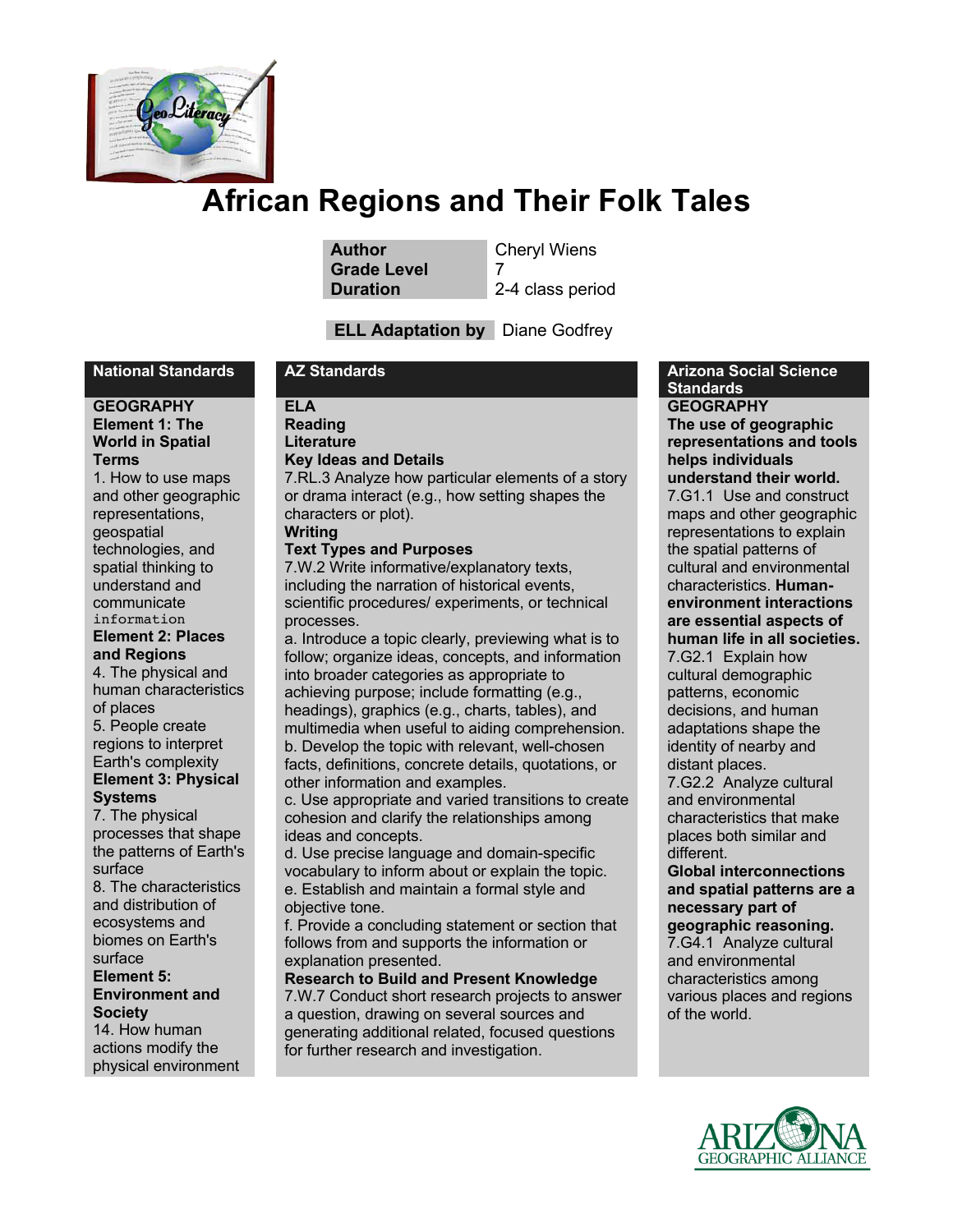

**Author** Cheryl Wiens **Grade Level** 7

**Duration** 2-4 class period

## **ELL Adaptation by** Diane Godfrey

#### **GEOGRAPHY Element 1: The World in Spatial Terms**

1. How to use maps and other geographic representations, geospatial technologies, and spatial thinking to understand and communicate information **Element 2: Places** 

**and Regions** 4. The physical and human characteristics of places 5. People create regions to interpret Earth's complexity

#### **Element 3: Physical Systems**

7. The physical processes that shape the patterns of Earth's surface 8. The characteristics and distribution of ecosystems and biomes on Earth's surface **Element 5: Environment and Society** 14. How human actions modify the physical environment

**ELA Reading Literature**

**Key Ideas and Details**

7.RL.3 Analyze how particular elements of a story or drama interact (e.g., how setting shapes the characters or plot).

#### **Writing Text Types and Purposes**

7.W.2 Write informative/explanatory texts, including the narration of historical events, scientific procedures/ experiments, or technical processes.

a. Introduce a topic clearly, previewing what is to follow; organize ideas, concepts, and information into broader categories as appropriate to achieving purpose; include formatting (e.g., headings), graphics (e.g., charts, tables), and multimedia when useful to aiding comprehension. b. Develop the topic with relevant, well-chosen facts, definitions, concrete details, quotations, or other information and examples.

c. Use appropriate and varied transitions to create cohesion and clarify the relationships among ideas and concepts.

d. Use precise language and domain-specific vocabulary to inform about or explain the topic. e. Establish and maintain a formal style and objective tone.

f. Provide a concluding statement or section that follows from and supports the information or explanation presented.

**Research to Build and Present Knowledge**

7.W.7 Conduct short research projects to answer a question, drawing on several sources and generating additional related, focused questions for further research and investigation.

#### **National Standards AZ Standards Arizona Social Science Standards GEOGRAPHY**

**The use of geographic representations and tools helps individuals understand their world.**

7.G1.1 Use and construct maps and other geographic representations to explain the spatial patterns of cultural and environmental characteristics. **Humanenvironment interactions are essential aspects of human life in all societies.**

7.G2.1 Explain how cultural demographic patterns, economic decisions, and human adaptations shape the identity of nearby and distant places.

7.G2.2 Analyze cultural and environmental characteristics that make places both similar and different.

#### **Global interconnections and spatial patterns are a necessary part of geographic reasoning.** 7.G4.1 Analyze cultural and environmental characteristics among

various places and regions of the world.

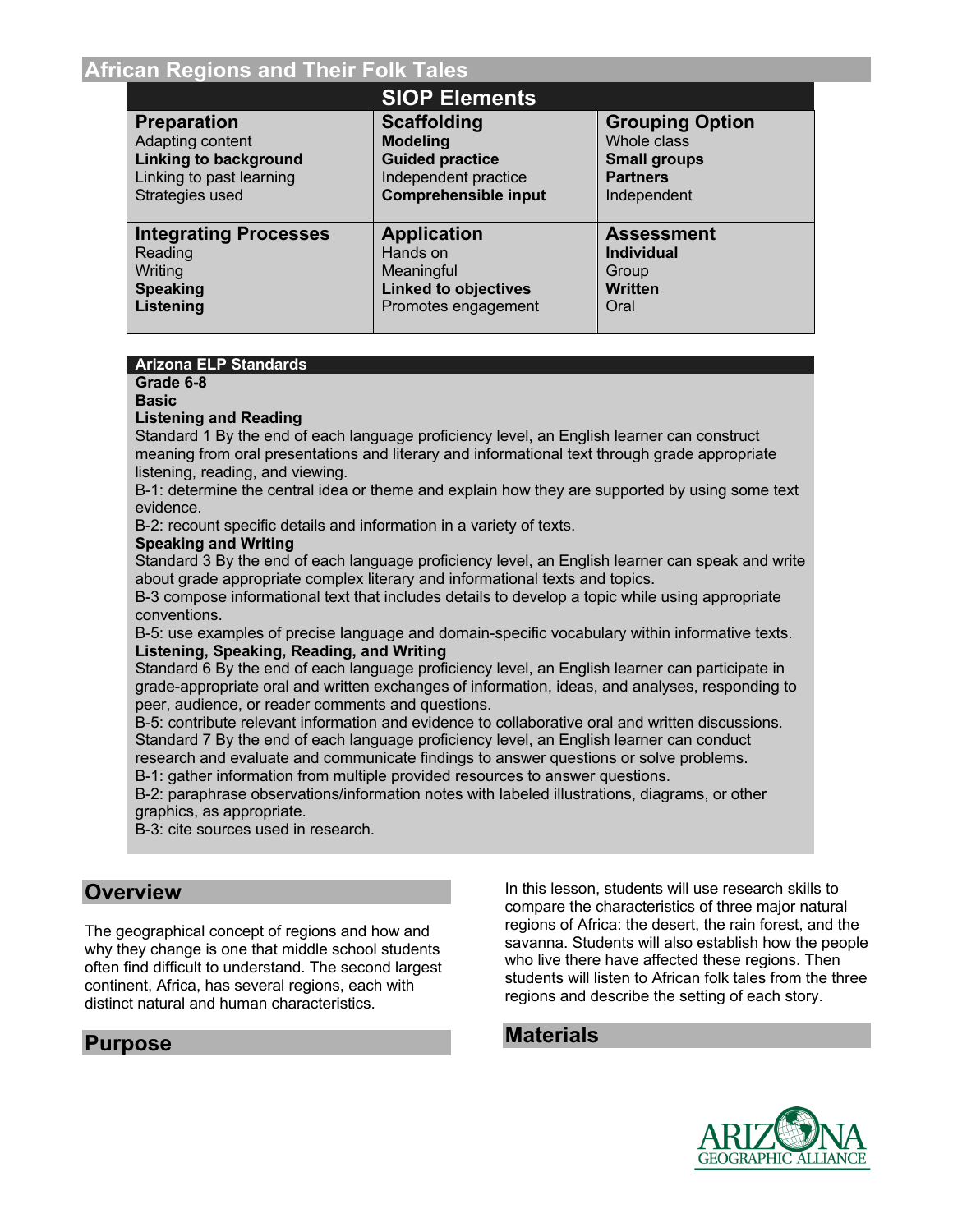|                              | <b>SIOP Elements</b>        |                        |
|------------------------------|-----------------------------|------------------------|
| <b>Preparation</b>           | <b>Scaffolding</b>          | <b>Grouping Option</b> |
| Adapting content             | <b>Modeling</b>             | Whole class            |
| <b>Linking to background</b> | <b>Guided practice</b>      | <b>Small groups</b>    |
| Linking to past learning     | Independent practice        | <b>Partners</b>        |
| Strategies used              | <b>Comprehensible input</b> | Independent            |
| <b>Integrating Processes</b> | <b>Application</b>          | <b>Assessment</b>      |
| Reading                      | Hands on                    | <b>Individual</b>      |
| Writing                      | Meaningful                  | Group                  |
| <b>Speaking</b>              | <b>Linked to objectives</b> | <b>Written</b>         |
| Listening                    | Promotes engagement         | Oral                   |

#### **Arizona ELP Standards**

## **Grade 6-8**

**Basic**

#### **Listening and Reading**

Standard 1 By the end of each language proficiency level, an English learner can construct meaning from oral presentations and literary and informational text through grade appropriate listening, reading, and viewing.

B-1: determine the central idea or theme and explain how they are supported by using some text evidence.

B-2: recount specific details and information in a variety of texts.

#### **Speaking and Writing**

Standard 3 By the end of each language proficiency level, an English learner can speak and write about grade appropriate complex literary and informational texts and topics.

B-3 compose informational text that includes details to develop a topic while using appropriate conventions.

B-5: use examples of precise language and domain-specific vocabulary within informative texts. **Listening, Speaking, Reading, and Writing**

Standard 6 By the end of each language proficiency level, an English learner can participate in grade-appropriate oral and written exchanges of information, ideas, and analyses, responding to peer, audience, or reader comments and questions.

B-5: contribute relevant information and evidence to collaborative oral and written discussions. Standard 7 By the end of each language proficiency level, an English learner can conduct research and evaluate and communicate findings to answer questions or solve problems.

B-1: gather information from multiple provided resources to answer questions.

B-2: paraphrase observations/information notes with labeled illustrations, diagrams, or other graphics, as appropriate.

B-3: cite sources used in research.

## **Overview**

The geographical concept of regions and how and why they change is one that middle school students often find difficult to understand. The second largest continent, Africa, has several regions, each with distinct natural and human characteristics.

## **Purpose**

In this lesson, students will use research skills to compare the characteristics of three major natural regions of Africa: the desert, the rain forest, and the savanna. Students will also establish how the people who live there have affected these regions. Then students will listen to African folk tales from the three regions and describe the setting of each story.

## **Materials**

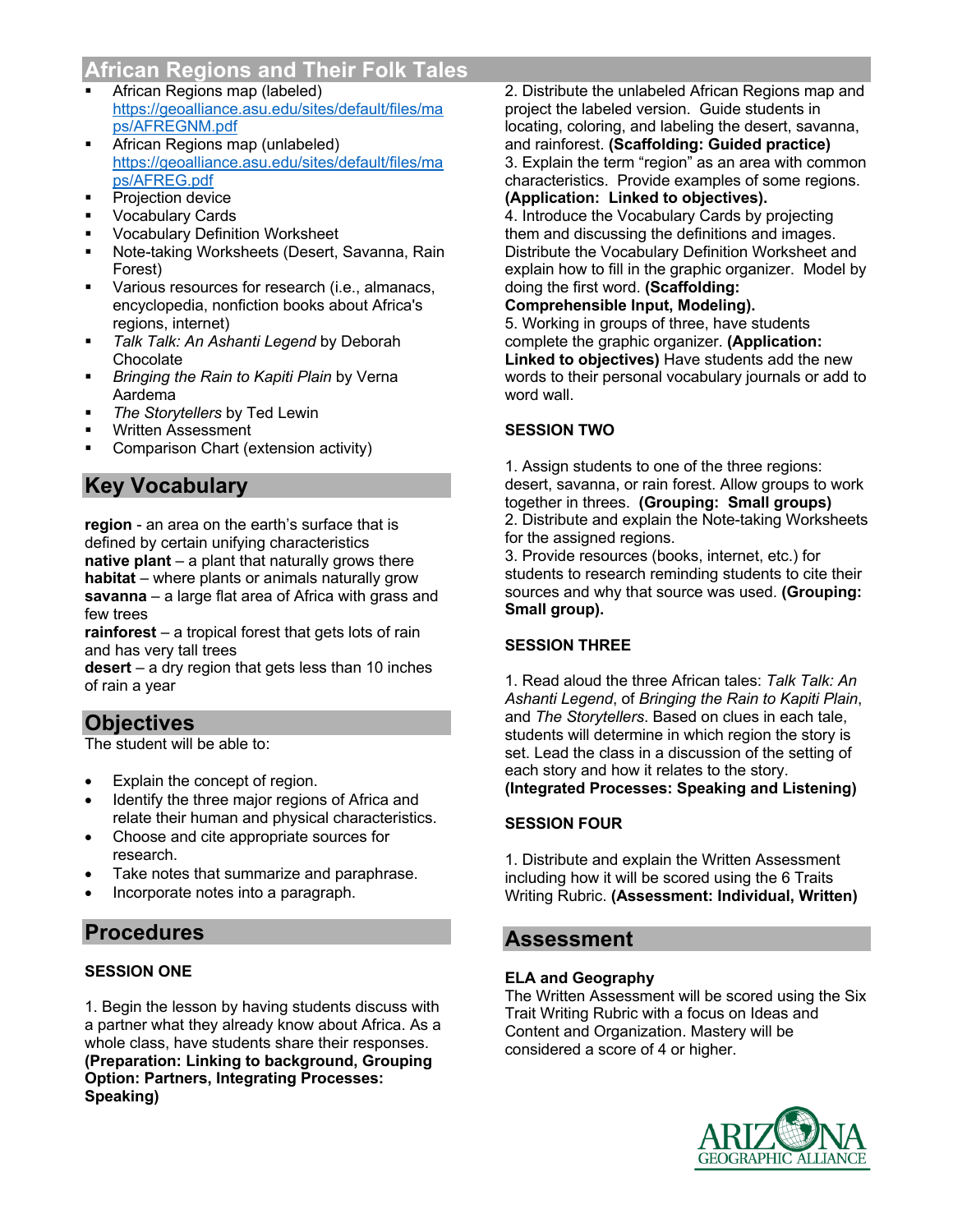- § African Regions map (labeled) https://geoalliance.asu.edu/sites/default/files/ma ps/AFREGNM.pdf
- § African Regions map (unlabeled) https://geoalliance.asu.edu/sites/default/files/ma ps/AFREG.pdf
- § Projection device
- § Vocabulary Cards
- § Vocabulary Definition Worksheet
- § Note-taking Worksheets (Desert, Savanna, Rain Forest)
- Various resources for research (i.e., almanacs, encyclopedia, nonfiction books about Africa's regions, internet)
- § *Talk Talk: An Ashanti Legend* by Deborah Chocolate
- **Bringing the Rain to Kapiti Plain by Verna** Aardema
- § *The Storytellers* by Ted Lewin
- § Written Assessment
- § Comparison Chart (extension activity)

## **Key Vocabulary**

**region** - an area on the earth's surface that is defined by certain unifying characteristics **native plant** – a plant that naturally grows there **habitat** – where plants or animals naturally grow **savanna** – a large flat area of Africa with grass and few trees

**rainforest** – a tropical forest that gets lots of rain and has very tall trees

**desert** – a dry region that gets less than 10 inches of rain a year

## **Objectives**

The student will be able to:

- Explain the concept of region.
- Identify the three major regions of Africa and relate their human and physical characteristics.
- Choose and cite appropriate sources for research.
- Take notes that summarize and paraphrase.
- Incorporate notes into a paragraph.

## **Procedures**

### **SESSION ONE**

1. Begin the lesson by having students discuss with a partner what they already know about Africa. As a whole class, have students share their responses. **(Preparation: Linking to background, Grouping Option: Partners, Integrating Processes: Speaking)**

2. Distribute the unlabeled African Regions map and project the labeled version. Guide students in locating, coloring, and labeling the desert, savanna, and rainforest. **(Scaffolding: Guided practice)** 3. Explain the term "region" as an area with common characteristics. Provide examples of some regions. **(Application: Linked to objectives).**

4. Introduce the Vocabulary Cards by projecting them and discussing the definitions and images. Distribute the Vocabulary Definition Worksheet and explain how to fill in the graphic organizer. Model by doing the first word. **(Scaffolding:** 

### **Comprehensible Input, Modeling).**

5. Working in groups of three, have students complete the graphic organizer. **(Application: Linked to objectives)** Have students add the new words to their personal vocabulary journals or add to word wall.

#### **SESSION TWO**

1. Assign students to one of the three regions: desert, savanna, or rain forest. Allow groups to work together in threes. **(Grouping: Small groups)** 2. Distribute and explain the Note-taking Worksheets for the assigned regions.

3. Provide resources (books, internet, etc.) for students to research reminding students to cite their sources and why that source was used. **(Grouping: Small group).**

#### **SESSION THREE**

1. Read aloud the three African tales: *Talk Talk: An Ashanti Legend*, of *Bringing the Rain to Kapiti Plain*, and *The Storytellers*. Based on clues in each tale, students will determine in which region the story is set. Lead the class in a discussion of the setting of each story and how it relates to the story. **(Integrated Processes: Speaking and Listening)**

#### **SESSION FOUR**

1. Distribute and explain the Written Assessment including how it will be scored using the 6 Traits Writing Rubric. **(Assessment: Individual, Written)**

## **Assessment**

#### **ELA and Geography**

The Written Assessment will be scored using the Six Trait Writing Rubric with a focus on Ideas and Content and Organization. Mastery will be considered a score of 4 or higher.